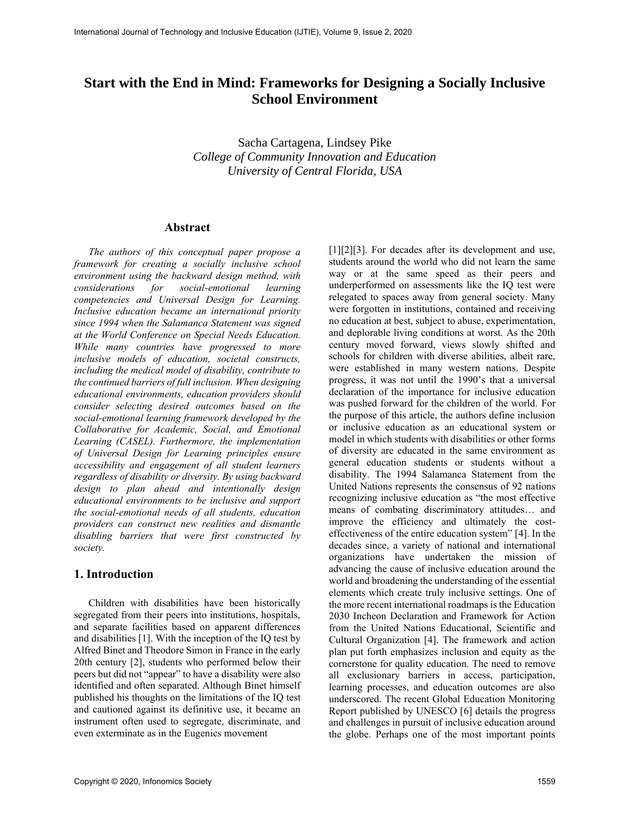# **Start with the End in Mind: Frameworks for Designing a Socially Inclusive School Environment**

Sacha Cartagena, Lindsey Pike *College of Community Innovation and Education University of Central Florida, USA*

#### **Abstract**

*The authors of this conceptual paper propose a framework for creating a socially inclusive school environment using the backward design method, with considerations for social-emotional learning competencies and Universal Design for Learning. Inclusive education became an international priority since 1994 when the Salamanca Statement was signed at the World Conference on Special Needs Education. While many countries have progressed to more inclusive models of education, societal constructs, including the medical model of disability, contribute to the continued barriers of full inclusion. When designing educational environments, education providers should consider selecting desired outcomes based on the social-emotional learning framework developed by the Collaborative for Academic, Social, and Emotional Learning (CASEL). Furthermore, the implementation of Universal Design for Learning principles ensure accessibility and engagement of all student learners regardless of disability or diversity. By using backward design to plan ahead and intentionally design educational environments to be inclusive and support the social-emotional needs of all students, education providers can construct new realities and dismantle disabling barriers that were first constructed by society.*

#### **1. Introduction**

Children with disabilities have been historically segregated from their peers into institutions, hospitals, and separate facilities based on apparent differences and disabilities [1]. With the inception of the IQ test by Alfred Binet and Theodore Simon in France in the early 20th century [2], students who performed below their peers but did not "appear" to have a disability were also identified and often separated. Although Binet himself published his thoughts on the limitations of the IQ test and cautioned against its definitive use, it became an instrument often used to segregate, discriminate, and even exterminate as in the Eugenics movement

[1][2][3]. For decades after its development and use, students around the world who did not learn the same way or at the same speed as their peers and underperformed on assessments like the IQ test were relegated to spaces away from general society. Many were forgotten in institutions, contained and receiving no education at best, subject to abuse, experimentation, and deplorable living conditions at worst. As the 20th century moved forward, views slowly shifted and schools for children with diverse abilities, albeit rare, were established in many western nations. Despite progress, it was not until the 1990's that a universal declaration of the importance for inclusive education was pushed forward for the children of the world. For the purpose of this article, the authors define inclusion or inclusive education as an educational system or model in which students with disabilities or other forms of diversity are educated in the same environment as general education students or students without a disability. The 1994 Salamanca Statement from the United Nations represents the consensus of 92 nations recognizing inclusive education as "the most effective means of combating discriminatory attitudes… and improve the efficiency and ultimately the costeffectiveness of the entire education system" [4]. In the decades since, a variety of national and international organizations have undertaken the mission of advancing the cause of inclusive education around the world and broadening the understanding of the essential elements which create truly inclusive settings. One of the more recent international roadmaps is the Education 2030 Incheon Declaration and Framework for Action from the United Nations Educational, Scientific and Cultural Organization [4]. The framework and action plan put forth emphasizes inclusion and equity as the cornerstone for quality education. The need to remove all exclusionary barriers in access, participation, learning processes, and education outcomes are also underscored. The recent Global Education Monitoring Report published by UNESCO [6] details the progress and challenges in pursuit of inclusive education around the globe. Perhaps one of the most important points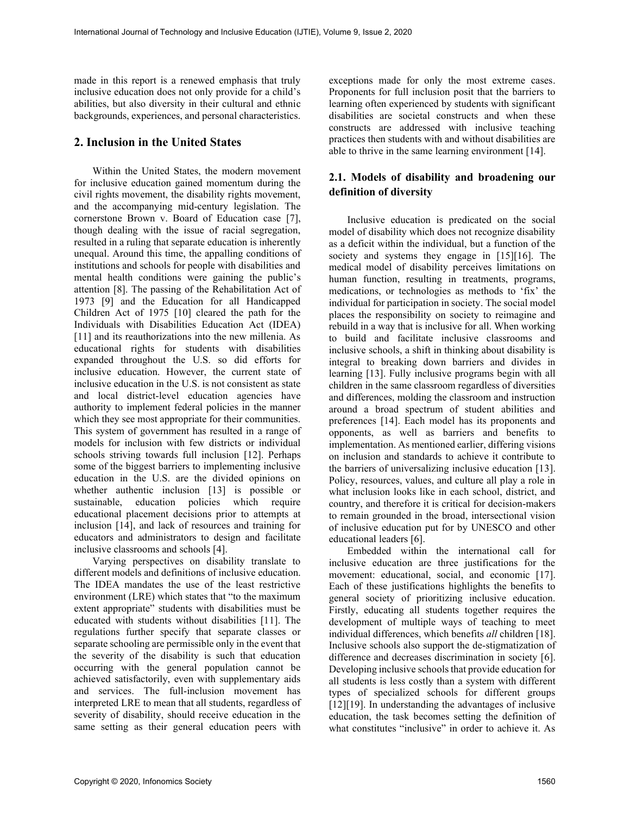made in this report is a renewed emphasis that truly inclusive education does not only provide for a child's abilities, but also diversity in their cultural and ethnic backgrounds, experiences, and personal characteristics.

## **2. Inclusion in the United States**

Within the United States, the modern movement for inclusive education gained momentum during the civil rights movement, the disability rights movement, and the accompanying mid-century legislation. The cornerstone Brown v. Board of Education case [7], though dealing with the issue of racial segregation, resulted in a ruling that separate education is inherently unequal. Around this time, the appalling conditions of institutions and schools for people with disabilities and mental health conditions were gaining the public's attention [8]. The passing of the Rehabilitation Act of 1973 [9] and the Education for all Handicapped Children Act of 1975 [10] cleared the path for the Individuals with Disabilities Education Act (IDEA) [11] and its reauthorizations into the new millenia. As educational rights for students with disabilities expanded throughout the U.S. so did efforts for inclusive education. However, the current state of inclusive education in the U.S. is not consistent as state and local district-level education agencies have authority to implement federal policies in the manner which they see most appropriate for their communities. This system of government has resulted in a range of models for inclusion with few districts or individual schools striving towards full inclusion [12]. Perhaps some of the biggest barriers to implementing inclusive education in the U.S. are the divided opinions on whether authentic inclusion [13] is possible or sustainable, education policies which require educational placement decisions prior to attempts at inclusion [14], and lack of resources and training for educators and administrators to design and facilitate inclusive classrooms and schools [4].

Varying perspectives on disability translate to different models and definitions of inclusive education. The IDEA mandates the use of the least restrictive environment (LRE) which states that "to the maximum extent appropriate" students with disabilities must be educated with students without disabilities [11]. The regulations further specify that separate classes or separate schooling are permissible only in the event that the severity of the disability is such that education occurring with the general population cannot be achieved satisfactorily, even with supplementary aids and services. The full-inclusion movement has interpreted LRE to mean that all students, regardless of severity of disability, should receive education in the same setting as their general education peers with

exceptions made for only the most extreme cases. Proponents for full inclusion posit that the barriers to learning often experienced by students with significant disabilities are societal constructs and when these constructs are addressed with inclusive teaching practices then students with and without disabilities are able to thrive in the same learning environment [14].

## **2.1. Models of disability and broadening our definition of diversity**

Inclusive education is predicated on the social model of disability which does not recognize disability as a deficit within the individual, but a function of the society and systems they engage in [15][16]. The medical model of disability perceives limitations on human function, resulting in treatments, programs, medications, or technologies as methods to 'fix' the individual for participation in society. The social model places the responsibility on society to reimagine and rebuild in a way that is inclusive for all. When working to build and facilitate inclusive classrooms and inclusive schools, a shift in thinking about disability is integral to breaking down barriers and divides in learning [13]. Fully inclusive programs begin with all children in the same classroom regardless of diversities and differences, molding the classroom and instruction around a broad spectrum of student abilities and preferences [14]. Each model has its proponents and opponents, as well as barriers and benefits to implementation. As mentioned earlier, differing visions on inclusion and standards to achieve it contribute to the barriers of universalizing inclusive education [13]. Policy, resources, values, and culture all play a role in what inclusion looks like in each school, district, and country, and therefore it is critical for decision-makers to remain grounded in the broad, intersectional vision of inclusive education put for by UNESCO and other educational leaders [6].

Embedded within the international call for inclusive education are three justifications for the movement: educational, social, and economic [17]. Each of these justifications highlights the benefits to general society of prioritizing inclusive education. Firstly, educating all students together requires the development of multiple ways of teaching to meet individual differences, which benefits *all* children [18]. Inclusive schools also support the de-stigmatization of difference and decreases discrimination in society [6]. Developing inclusive schools that provide education for all students is less costly than a system with different types of specialized schools for different groups [12][19]. In understanding the advantages of inclusive education, the task becomes setting the definition of what constitutes "inclusive" in order to achieve it. As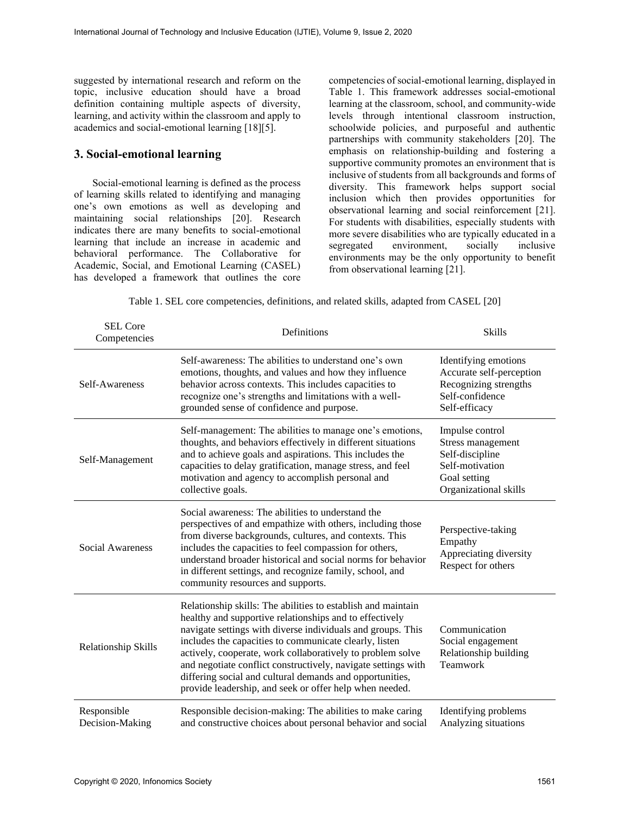suggested by international research and reform on the topic, inclusive education should have a broad definition containing multiple aspects of diversity, learning, and activity within the classroom and apply to academics and social-emotional learning [18][5].

#### **3. Social-emotional learning**

Social-emotional learning is defined as the process of learning skills related to identifying and managing one's own emotions as well as developing and maintaining social relationships [20]. Research indicates there are many benefits to social-emotional learning that include an increase in academic and behavioral performance. The Collaborative for Academic, Social, and Emotional Learning (CASEL) has developed a framework that outlines the core competencies of social-emotional learning, displayed in Table 1. This framework addresses social-emotional learning at the classroom, school, and community-wide levels through intentional classroom instruction, schoolwide policies, and purposeful and authentic partnerships with community stakeholders [20]. The emphasis on relationship-building and fostering a supportive community promotes an environment that is inclusive of students from all backgrounds and forms of diversity. This framework helps support social inclusion which then provides opportunities for observational learning and social reinforcement [21]. For students with disabilities, especially students with more severe disabilities who are typically educated in a segregated environment, socially inclusive environments may be the only opportunity to benefit from observational learning [21].

|  |  | Table 1. SEL core competencies, definitions, and related skills, adapted from CASEL [20] |  |  |  |
|--|--|------------------------------------------------------------------------------------------|--|--|--|
|  |  |                                                                                          |  |  |  |

| <b>SEL Core</b><br>Competencies | Definitions                                                                                                                                                                                                                                                                                                                                                                                                                                                                                            | <b>Skills</b>                                                                                                       |
|---------------------------------|--------------------------------------------------------------------------------------------------------------------------------------------------------------------------------------------------------------------------------------------------------------------------------------------------------------------------------------------------------------------------------------------------------------------------------------------------------------------------------------------------------|---------------------------------------------------------------------------------------------------------------------|
| Self-Awareness                  | Self-awareness: The abilities to understand one's own<br>emotions, thoughts, and values and how they influence<br>behavior across contexts. This includes capacities to<br>recognize one's strengths and limitations with a well-<br>grounded sense of confidence and purpose.                                                                                                                                                                                                                         | Identifying emotions<br>Accurate self-perception<br>Recognizing strengths<br>Self-confidence<br>Self-efficacy       |
| Self-Management                 | Self-management: The abilities to manage one's emotions,<br>thoughts, and behaviors effectively in different situations<br>and to achieve goals and aspirations. This includes the<br>capacities to delay gratification, manage stress, and feel<br>motivation and agency to accomplish personal and<br>collective goals.                                                                                                                                                                              | Impulse control<br>Stress management<br>Self-discipline<br>Self-motivation<br>Goal setting<br>Organizational skills |
| Social Awareness                | Social awareness: The abilities to understand the<br>perspectives of and empathize with others, including those<br>from diverse backgrounds, cultures, and contexts. This<br>includes the capacities to feel compassion for others,<br>understand broader historical and social norms for behavior<br>in different settings, and recognize family, school, and<br>community resources and supports.                                                                                                    | Perspective-taking<br>Empathy<br>Appreciating diversity<br>Respect for others                                       |
| Relationship Skills             | Relationship skills: The abilities to establish and maintain<br>healthy and supportive relationships and to effectively<br>navigate settings with diverse individuals and groups. This<br>includes the capacities to communicate clearly, listen<br>actively, cooperate, work collaboratively to problem solve<br>and negotiate conflict constructively, navigate settings with<br>differing social and cultural demands and opportunities,<br>provide leadership, and seek or offer help when needed. | Communication<br>Social engagement<br>Relationship building<br>Teamwork                                             |
| Responsible<br>Decision-Making  | Responsible decision-making: The abilities to make caring<br>and constructive choices about personal behavior and social                                                                                                                                                                                                                                                                                                                                                                               | Identifying problems<br>Analyzing situations                                                                        |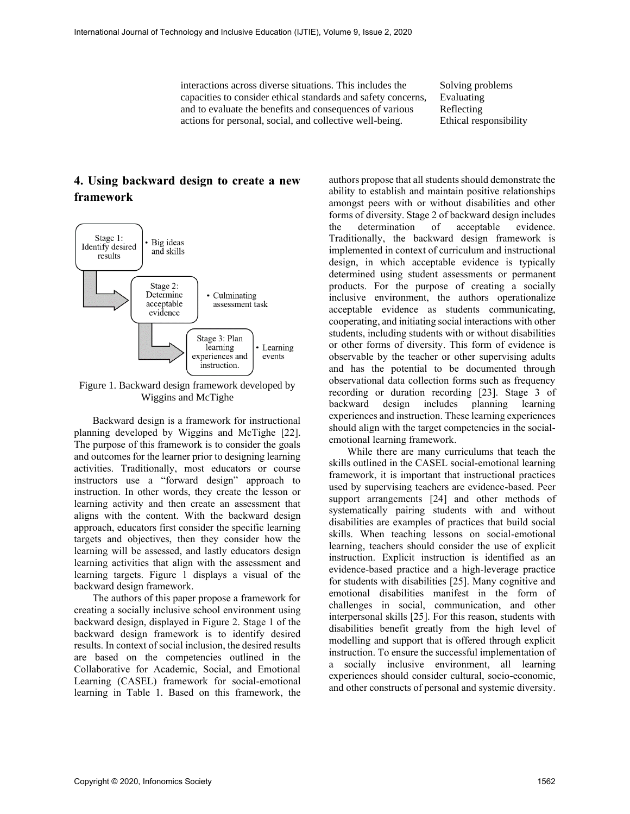interactions across diverse situations. This includes the capacities to consider ethical standards and safety concerns, and to evaluate the benefits and consequences of various actions for personal, social, and collective well-being.

Solving problems Evaluating Reflecting Ethical responsibility

## **4. Using backward design to create a new framework**



Figure 1. Backward design framework developed by Wiggins and McTighe

Backward design is a framework for instructional planning developed by Wiggins and McTighe [22]. The purpose of this framework is to consider the goals and outcomes for the learner prior to designing learning activities. Traditionally, most educators or course instructors use a "forward design" approach to instruction. In other words, they create the lesson or learning activity and then create an assessment that aligns with the content. With the backward design approach, educators first consider the specific learning targets and objectives, then they consider how the learning will be assessed, and lastly educators design learning activities that align with the assessment and learning targets. Figure 1 displays a visual of the backward design framework.

The authors of this paper propose a framework for creating a socially inclusive school environment using backward design, displayed in Figure 2. Stage 1 of the backward design framework is to identify desired results. In context of social inclusion, the desired results are based on the competencies outlined in the Collaborative for Academic, Social, and Emotional Learning (CASEL) framework for social-emotional learning in Table 1. Based on this framework, the

authors propose that all students should demonstrate the ability to establish and maintain positive relationships amongst peers with or without disabilities and other forms of diversity. Stage 2 of backward design includes the determination of acceptable evidence. Traditionally, the backward design framework is implemented in context of curriculum and instructional design, in which acceptable evidence is typically determined using student assessments or permanent products. For the purpose of creating a socially inclusive environment, the authors operationalize acceptable evidence as students communicating, cooperating, and initiating social interactions with other students, including students with or without disabilities or other forms of diversity. This form of evidence is observable by the teacher or other supervising adults and has the potential to be documented through observational data collection forms such as frequency recording or duration recording [23]. Stage 3 of backward design includes planning learning experiences and instruction. These learning experiences should align with the target competencies in the socialemotional learning framework.

While there are many curriculums that teach the skills outlined in the CASEL social-emotional learning framework, it is important that instructional practices used by supervising teachers are evidence-based. Peer support arrangements [24] and other methods of systematically pairing students with and without disabilities are examples of practices that build social skills. When teaching lessons on social-emotional learning, teachers should consider the use of explicit instruction. Explicit instruction is identified as an evidence-based practice and a high-leverage practice for students with disabilities [25]. Many cognitive and emotional disabilities manifest in the form of challenges in social, communication, and other interpersonal skills [25]. For this reason, students with disabilities benefit greatly from the high level of modelling and support that is offered through explicit instruction. To ensure the successful implementation of a socially inclusive environment, all learning experiences should consider cultural, socio-economic, and other constructs of personal and systemic diversity.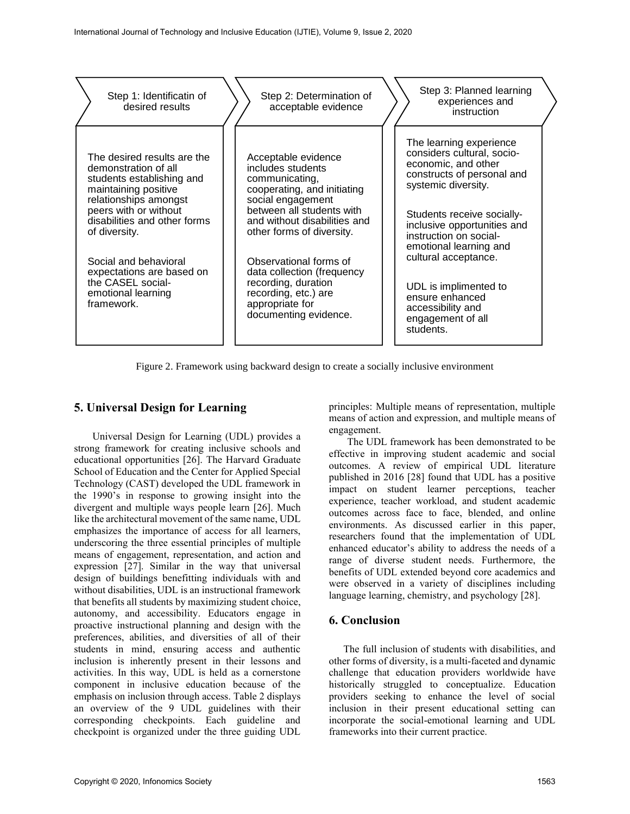

Figure 2. Framework using backward design to create a socially inclusive environment

## **5. Universal Design for Learning**

Universal Design for Learning (UDL) provides a strong framework for creating inclusive schools and educational opportunities [26]. The Harvard Graduate School of Education and the Center for Applied Special Technology (CAST) developed the UDL framework in the 1990's in response to growing insight into the divergent and multiple ways people learn [26]. Much like the architectural movement of the same name, UDL emphasizes the importance of access for all learners, underscoring the three essential principles of multiple means of engagement, representation, and action and expression [27]. Similar in the way that universal design of buildings benefitting individuals with and without disabilities, UDL is an instructional framework that benefits all students by maximizing student choice, autonomy, and accessibility. Educators engage in proactive instructional planning and design with the preferences, abilities, and diversities of all of their students in mind, ensuring access and authentic inclusion is inherently present in their lessons and activities. In this way, UDL is held as a cornerstone component in inclusive education because of the emphasis on inclusion through access. Table 2 displays an overview of the 9 UDL guidelines with their corresponding checkpoints. Each guideline and checkpoint is organized under the three guiding UDL principles: Multiple means of representation, multiple means of action and expression, and multiple means of engagement.

The UDL framework has been demonstrated to be effective in improving student academic and social outcomes. A review of empirical UDL literature published in 2016 [28] found that UDL has a positive impact on student learner perceptions, teacher experience, teacher workload, and student academic outcomes across face to face, blended, and online environments. As discussed earlier in this paper, researchers found that the implementation of UDL enhanced educator's ability to address the needs of a range of diverse student needs. Furthermore, the benefits of UDL extended beyond core academics and were observed in a variety of disciplines including language learning, chemistry, and psychology [28].

## **6. Conclusion**

The full inclusion of students with disabilities, and other forms of diversity, is a multi-faceted and dynamic challenge that education providers worldwide have historically struggled to conceptualize. Education providers seeking to enhance the level of social inclusion in their present educational setting can incorporate the social-emotional learning and UDL frameworks into their current practice.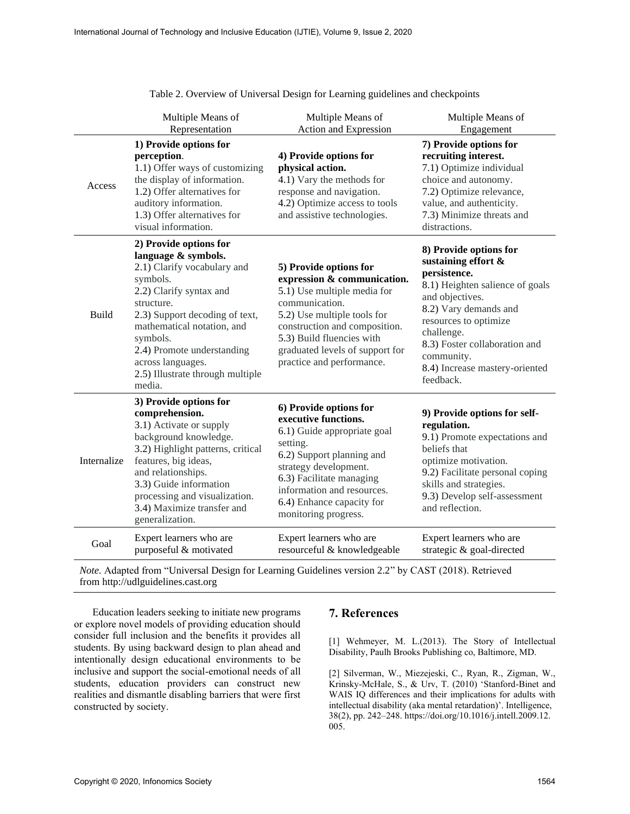|              | Multiple Means of<br>Representation                                                                                                                                                                                                                                                                            | Multiple Means of<br>Action and Expression                                                                                                                                                                                                                          | Multiple Means of<br>Engagement                                                                                                                                                                                                                                                   |
|--------------|----------------------------------------------------------------------------------------------------------------------------------------------------------------------------------------------------------------------------------------------------------------------------------------------------------------|---------------------------------------------------------------------------------------------------------------------------------------------------------------------------------------------------------------------------------------------------------------------|-----------------------------------------------------------------------------------------------------------------------------------------------------------------------------------------------------------------------------------------------------------------------------------|
| Access       | 1) Provide options for<br>perception.<br>1.1) Offer ways of customizing<br>the display of information.<br>1.2) Offer alternatives for<br>auditory information.<br>1.3) Offer alternatives for<br>visual information.                                                                                           | 4) Provide options for<br>physical action.<br>4.1) Vary the methods for<br>response and navigation.<br>4.2) Optimize access to tools<br>and assistive technologies.                                                                                                 | 7) Provide options for<br>recruiting interest.<br>7.1) Optimize individual<br>choice and autonomy.<br>7.2) Optimize relevance,<br>value, and authenticity.<br>7.3) Minimize threats and<br>distractions.                                                                          |
| <b>Build</b> | 2) Provide options for<br>language & symbols.<br>2.1) Clarify vocabulary and<br>symbols.<br>2.2) Clarify syntax and<br>structure.<br>2.3) Support decoding of text,<br>mathematical notation, and<br>symbols.<br>2.4) Promote understanding<br>across languages.<br>2.5) Illustrate through multiple<br>media. | 5) Provide options for<br>expression & communication.<br>5.1) Use multiple media for<br>communication.<br>5.2) Use multiple tools for<br>construction and composition.<br>5.3) Build fluencies with<br>graduated levels of support for<br>practice and performance. | 8) Provide options for<br>sustaining effort &<br>persistence.<br>8.1) Heighten salience of goals<br>and objectives.<br>8.2) Vary demands and<br>resources to optimize<br>challenge.<br>8.3) Foster collaboration and<br>community.<br>8.4) Increase mastery-oriented<br>feedback. |
| Internalize  | 3) Provide options for<br>comprehension.<br>3.1) Activate or supply<br>background knowledge.<br>3.2) Highlight patterns, critical<br>features, big ideas,<br>and relationships.<br>3.3) Guide information<br>processing and visualization.<br>3.4) Maximize transfer and<br>generalization.                    | 6) Provide options for<br>executive functions.<br>6.1) Guide appropriate goal<br>setting.<br>6.2) Support planning and<br>strategy development.<br>6.3) Facilitate managing<br>information and resources.<br>6.4) Enhance capacity for<br>monitoring progress.      | 9) Provide options for self-<br>regulation.<br>9.1) Promote expectations and<br>beliefs that<br>optimize motivation.<br>9.2) Facilitate personal coping<br>skills and strategies.<br>9.3) Develop self-assessment<br>and reflection.                                              |
| Goal         | Expert learners who are<br>purposeful & motivated                                                                                                                                                                                                                                                              | Expert learners who are<br>resourceful & knowledgeable                                                                                                                                                                                                              | Expert learners who are<br>strategic & goal-directed                                                                                                                                                                                                                              |

Table 2. Overview of Universal Design for Learning guidelines and checkpoints

*Note.* Adapted from "Universal Design for Learning Guidelines version 2.2" by CAST (2018). Retrieved from http://udlguidelines.cast.org

Education leaders seeking to initiate new programs or explore novel models of providing education should consider full inclusion and the benefits it provides all students. By using backward design to plan ahead and intentionally design educational environments to be inclusive and support the social-emotional needs of all students, education providers can construct new realities and dismantle disabling barriers that were first constructed by society.

## **7. References**

[1] Wehmeyer, M. L.(2013). The Story of Intellectual Disability, Paulh Brooks Publishing co, Baltimore, MD.

[2] Silverman, W., Miezejeski, C., Ryan, R., Zigman, W., Krinsky-McHale, S., & Urv, T. (2010) 'Stanford-Binet and WAIS IQ differences and their implications for adults with intellectual disability (aka mental retardation)'. Intelligence, 38(2), pp. 242–248. https://doi.org/10.1016/j.intell.2009.12. 005.